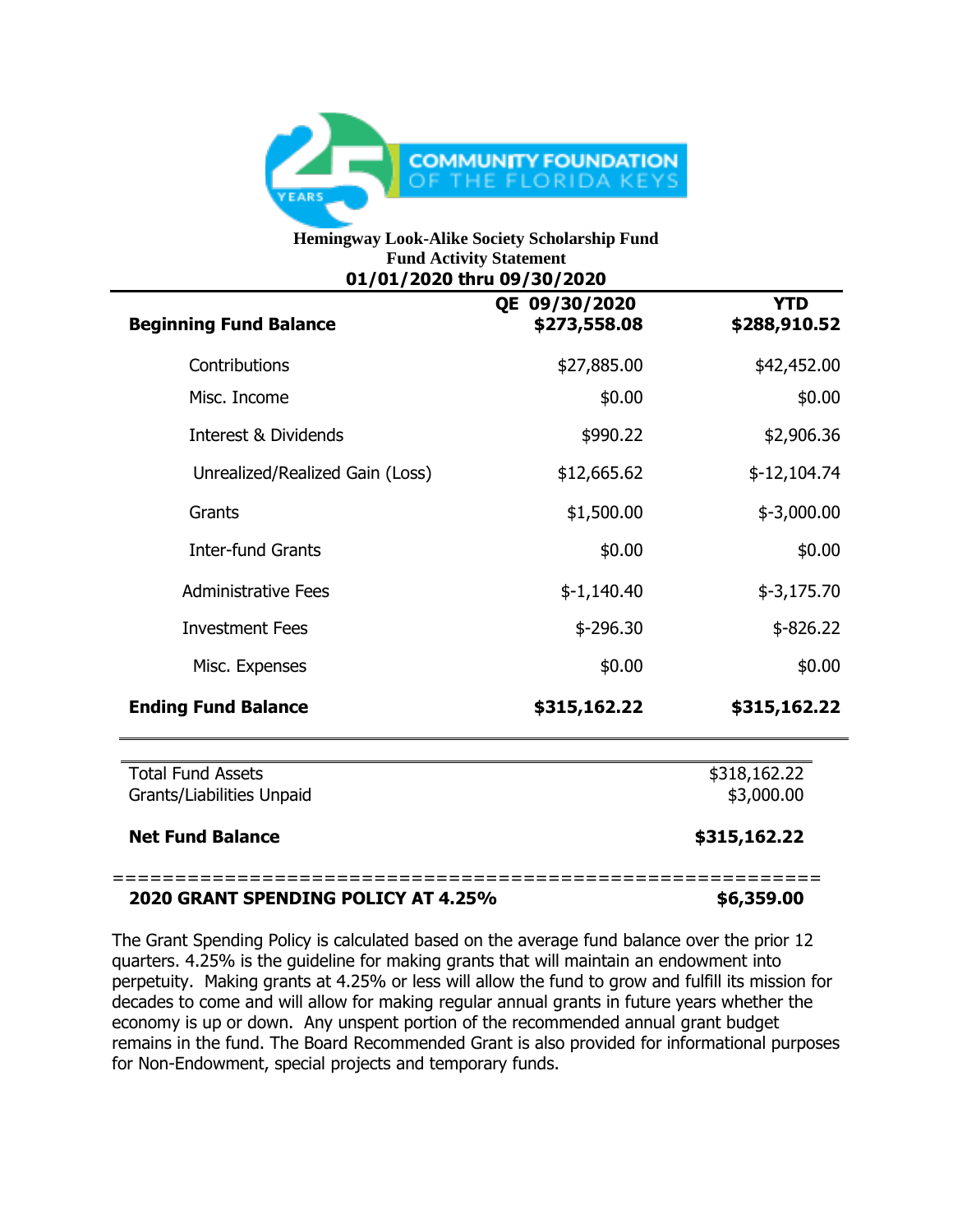

## **Hemingway Look-Alike Society Scholarship Fund Fund Activity Statement 01/01/2020 thru 09/30/2020**

| <b>Beginning Fund Balance</b>                         | QE 09/30/2020<br>\$273,558.08 | <b>YTD</b><br>\$288,910.52 |
|-------------------------------------------------------|-------------------------------|----------------------------|
| Contributions                                         | \$27,885.00                   | \$42,452.00                |
| Misc. Income                                          | \$0.00                        | \$0.00                     |
| <b>Interest &amp; Dividends</b>                       | \$990.22                      | \$2,906.36                 |
| Unrealized/Realized Gain (Loss)                       | \$12,665.62                   | $$-12,104.74$              |
| Grants                                                | \$1,500.00                    | $$-3,000.00$               |
| <b>Inter-fund Grants</b>                              | \$0.00                        | \$0.00                     |
| <b>Administrative Fees</b>                            | $$-1,140.40$                  | $$-3,175.70$               |
| <b>Investment Fees</b>                                | $$ -296.30$                   | $$ -826.22$                |
| Misc. Expenses                                        | \$0.00                        | \$0.00                     |
| <b>Ending Fund Balance</b>                            | \$315,162.22                  | \$315,162.22               |
| <b>Total Fund Assets</b><br>Grants/Liabilities Unpaid | \$318,162.22<br>\$3,000.00    |                            |
| <b>Net Fund Balance</b>                               | \$315,162.22                  |                            |

## **2020 GRANT SPENDING POLICY AT 4.25% \$6,359.00**

The Grant Spending Policy is calculated based on the average fund balance over the prior 12 quarters. 4.25% is the guideline for making grants that will maintain an endowment into perpetuity. Making grants at 4.25% or less will allow the fund to grow and fulfill its mission for decades to come and will allow for making regular annual grants in future years whether the economy is up or down. Any unspent portion of the recommended annual grant budget remains in the fund. The Board Recommended Grant is also provided for informational purposes for Non-Endowment, special projects and temporary funds.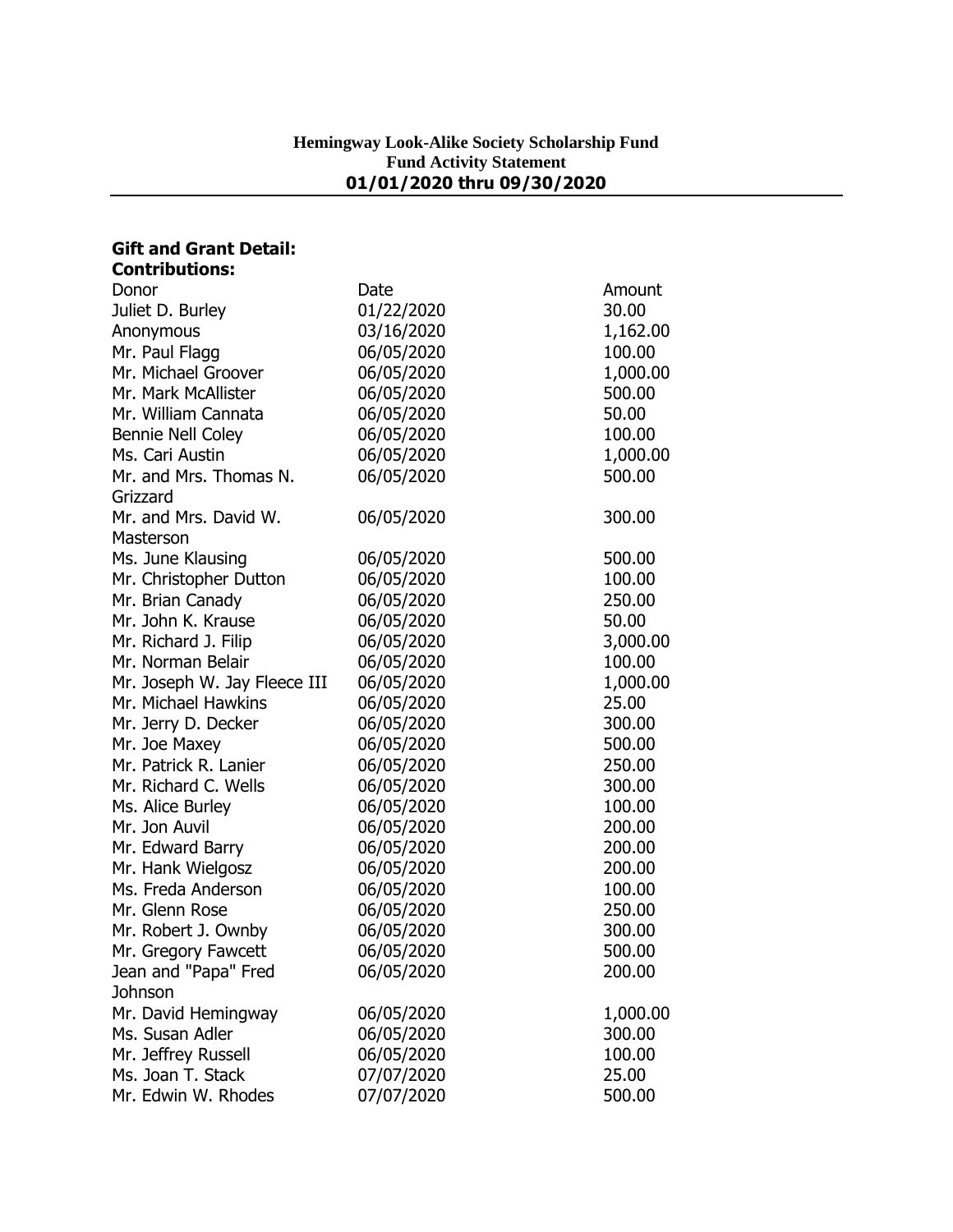| <b>Gift and Grant Detail:</b> |            |          |
|-------------------------------|------------|----------|
| <b>Contributions:</b>         |            |          |
| Donor                         | Date       | Amount   |
| Juliet D. Burley              | 01/22/2020 | 30.00    |
| Anonymous                     | 03/16/2020 | 1,162.00 |
| Mr. Paul Flagg                | 06/05/2020 | 100.00   |
| Mr. Michael Groover           | 06/05/2020 | 1,000.00 |
| Mr. Mark McAllister           | 06/05/2020 | 500.00   |
| Mr. William Cannata           | 06/05/2020 | 50.00    |
| <b>Bennie Nell Coley</b>      | 06/05/2020 | 100.00   |
| Ms. Cari Austin               | 06/05/2020 | 1,000.00 |
| Mr. and Mrs. Thomas N.        | 06/05/2020 | 500.00   |
| Grizzard                      |            |          |
| Mr. and Mrs. David W.         | 06/05/2020 | 300.00   |
| Masterson                     |            |          |
| Ms. June Klausing             | 06/05/2020 | 500.00   |
| Mr. Christopher Dutton        | 06/05/2020 | 100.00   |
| Mr. Brian Canady              | 06/05/2020 | 250.00   |
| Mr. John K. Krause            | 06/05/2020 | 50.00    |
| Mr. Richard J. Filip          | 06/05/2020 | 3,000.00 |
| Mr. Norman Belair             | 06/05/2020 | 100.00   |
| Mr. Joseph W. Jay Fleece III  | 06/05/2020 | 1,000.00 |
| Mr. Michael Hawkins           | 06/05/2020 | 25.00    |
| Mr. Jerry D. Decker           | 06/05/2020 | 300.00   |
| Mr. Joe Maxey                 | 06/05/2020 | 500.00   |
| Mr. Patrick R. Lanier         | 06/05/2020 | 250.00   |
| Mr. Richard C. Wells          | 06/05/2020 | 300.00   |
| Ms. Alice Burley              | 06/05/2020 | 100.00   |
| Mr. Jon Auvil                 | 06/05/2020 | 200.00   |
| Mr. Edward Barry              | 06/05/2020 | 200.00   |
| Mr. Hank Wielgosz             | 06/05/2020 | 200.00   |
| Ms. Freda Anderson            | 06/05/2020 | 100.00   |
| Mr. Glenn Rose                | 06/05/2020 | 250.00   |
| Mr. Robert J. Ownby           | 06/05/2020 | 300.00   |
| Mr. Gregory Fawcett           | 06/05/2020 | 500.00   |
| Jean and "Papa" Fred          | 06/05/2020 | 200.00   |
| Johnson                       |            |          |
| Mr. David Hemingway           | 06/05/2020 | 1,000.00 |
| Ms. Susan Adler               | 06/05/2020 | 300.00   |
| Mr. Jeffrey Russell           | 06/05/2020 | 100.00   |
| Ms. Joan T. Stack             | 07/07/2020 | 25.00    |
| Mr. Edwin W. Rhodes           | 07/07/2020 | 500.00   |